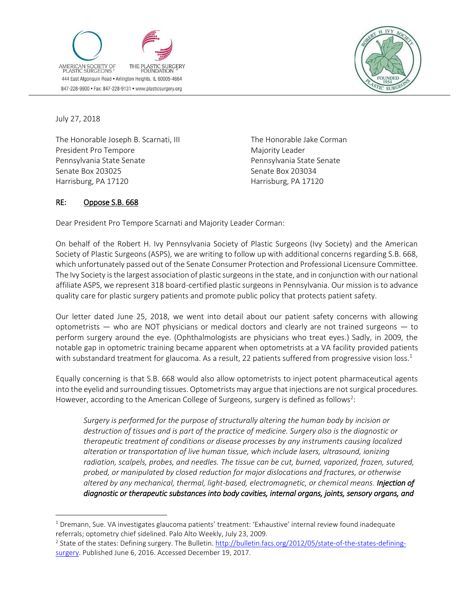



July 27, 2018

 $\overline{a}$ 

The Honorable Joseph B. Scarnati, III President Pro Tempore Pennsylvania State Senate Senate Box 203025 Harrisburg, PA 17120

The Honorable Jake Corman Majority Leader Pennsylvania State Senate Senate Box 203034 Harrisburg, PA 17120

## RE: Oppose S.B. 668

Dear President Pro Tempore Scarnati and Majority Leader Corman:

On behalf of the Robert H. Ivy Pennsylvania Society of Plastic Surgeons (Ivy Society) and the American Society of Plastic Surgeons (ASPS), we are writing to follow up with additional concerns regarding S.B. 668, which unfortunately passed out of the Senate Consumer Protection and Professional Licensure Committee. The Ivy Society is the largest association of plastic surgeons in the state, and in conjunction with our national affiliate ASPS, we represent 318 board-certified plastic surgeons in Pennsylvania. Our mission is to advance quality care for plastic surgery patients and promote public policy that protects patient safety.

Our letter dated June 25, 2018, we went into detail about our patient safety concerns with allowing optometrists — who are NOT physicians or medical doctors and clearly are not trained surgeons — to perform surgery around the eye. (Ophthalmologists are physicians who treat eyes.) Sadly, in 2009, the notable gap in optometric training became apparent when optometrists at a VA facility provided patients with substandard treatment for glaucoma. As a result, 22 patients suffered from progressive vision loss.<sup>1</sup>

Equally concerning is that S.B. 668 would also allow optometrists to inject potent pharmaceutical agents into the eyelid and surrounding tissues. Optometrists may argue that injections are not surgical procedures. However, according to the American College of Surgeons, surgery is defined as follows<sup>2</sup>:

*Surgery is performed for the purpose of structurally altering the human body by incision or destruction of tissues and is part of the practice of medicine. Surgery also is the diagnostic or therapeutic treatment of conditions or disease processes by any instruments causing localized alteration or transportation of live human tissue, which include lasers, ultrasound, ionizing radiation, scalpels, probes, and needles. The tissue can be cut, burned, vaporized, frozen, sutured, probed, or manipulated by closed reduction for major dislocations and fractures, or otherwise altered by any mechanical, thermal, light-based, electromagnetic, or chemical means. Injection of diagnostic or therapeutic substances into body cavities, internal organs, joints, sensory organs, and* 

<sup>&</sup>lt;sup>1</sup> Dremann, Sue. VA investigates glaucoma patients' treatment: 'Exhaustive' internal review found inadequate referrals; optometry chief sidelined. Palo Alto Weekly, July 23, 2009.

<sup>&</sup>lt;sup>2</sup> State of the states: Defining surgery. The Bulletin[. http://bulletin.facs.org/2012/05/state-of-the-states-defining](http://bulletin.facs.org/2012/05/state-of-the-states-defining-surgery)[surgery.](http://bulletin.facs.org/2012/05/state-of-the-states-defining-surgery) Published June 6, 2016. Accessed December 19, 2017.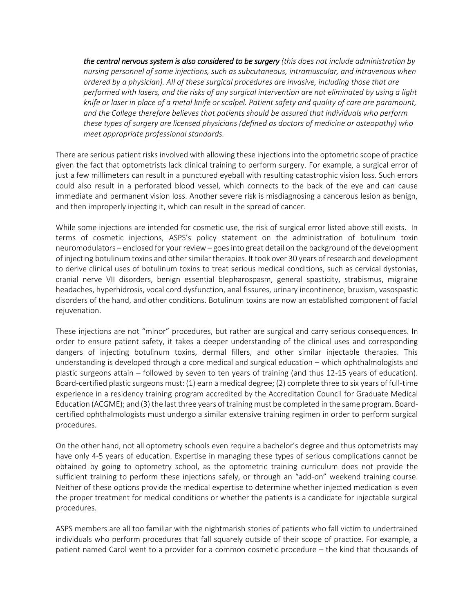*the central nervous system is also considered to be surgery (this does not include administration by nursing personnel of some injections, such as subcutaneous, intramuscular, and intravenous when ordered by a physician). All of these surgical procedures are invasive, including those that are performed with lasers, and the risks of any surgical intervention are not eliminated by using a light knife or laser in place of a metal knife or scalpel. Patient safety and quality of care are paramount, and the College therefore believes that patients should be assured that individuals who perform these types of surgery are licensed physicians (defined as doctors of medicine or osteopathy) who meet appropriate professional standards.*

There are serious patient risks involved with allowing these injections into the optometric scope of practice given the fact that optometrists lack clinical training to perform surgery. For example, a surgical error of just a few millimeters can result in a punctured eyeball with resulting catastrophic vision loss. Such errors could also result in a perforated blood vessel, which connects to the back of the eye and can cause immediate and permanent vision loss. Another severe risk is misdiagnosing a cancerous lesion as benign, and then improperly injecting it, which can result in the spread of cancer.

While some injections are intended for cosmetic use, the risk of surgical error listed above still exists. In terms of cosmetic injections, ASPS's policy statement on the administration of botulinum toxin neuromodulators – enclosed for your review – goes into great detail on the background of the development of injecting botulinum toxins and other similar therapies. It took over 30 years of research and development to derive clinical uses of botulinum toxins to treat serious medical conditions, such as cervical dystonias, cranial nerve VII disorders, benign essential blepharospasm, general spasticity, strabismus, migraine headaches, hyperhidrosis, vocal cord dysfunction, anal fissures, urinary incontinence, bruxism, vasospastic disorders of the hand, and other conditions. Botulinum toxins are now an established component of facial rejuvenation.

These injections are not "minor" procedures, but rather are surgical and carry serious consequences. In order to ensure patient safety, it takes a deeper understanding of the clinical uses and corresponding dangers of injecting botulinum toxins, dermal fillers, and other similar injectable therapies. This understanding is developed through a core medical and surgical education – which ophthalmologists and plastic surgeons attain – followed by seven to ten years of training (and thus 12-15 years of education). Board-certified plastic surgeons must: (1) earn a medical degree; (2) complete three to six years of full-time experience in a residency training program accredited by the Accreditation Council for Graduate Medical Education (ACGME); and (3) the last three years of training must be completed in the same program. Boardcertified ophthalmologists must undergo a similar extensive training regimen in order to perform surgical procedures.

On the other hand, not all optometry schools even require a bachelor's degree and thus optometrists may have only 4-5 years of education. Expertise in managing these types of serious complications cannot be obtained by going to optometry school, as the optometric training curriculum does not provide the sufficient training to perform these injections safely, or through an "add-on" weekend training course. Neither of these options provide the medical expertise to determine whether injected medication is even the proper treatment for medical conditions or whether the patients is a candidate for injectable surgical procedures.

ASPS members are all too familiar with the nightmarish stories of patients who fall victim to undertrained individuals who perform procedures that fall squarely outside of their scope of practice. For example, a patient named Carol went to a provider for a common cosmetic procedure – the kind that thousands of